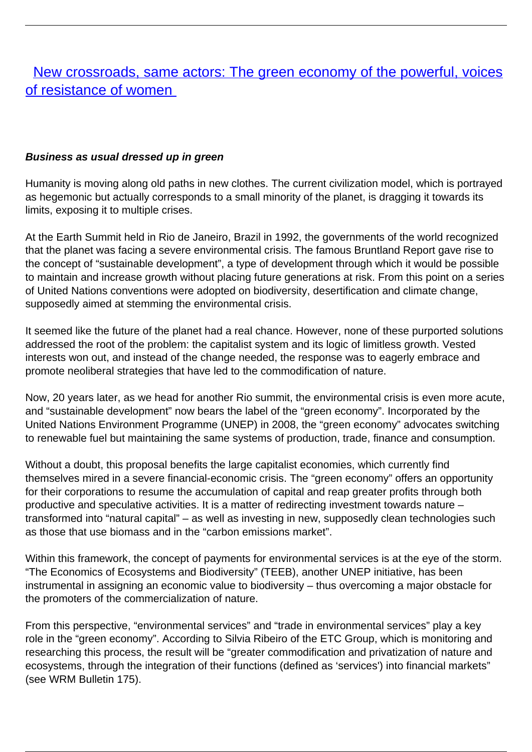# [New crossroads, same actors: The green economy of the powerful, voices](/bulletin-articles/new-crossroads-same-actors-the-green-economy-of-the-powerful-voices-of-resistance-of-women) [of resistance of women](/bulletin-articles/new-crossroads-same-actors-the-green-economy-of-the-powerful-voices-of-resistance-of-women)

### **Business as usual dressed up in green**

Humanity is moving along old paths in new clothes. The current civilization model, which is portrayed as hegemonic but actually corresponds to a small minority of the planet, is dragging it towards its limits, exposing it to multiple crises.

At the Earth Summit held in Rio de Janeiro, Brazil in 1992, the governments of the world recognized that the planet was facing a severe environmental crisis. The famous Bruntland Report gave rise to the concept of "sustainable development", a type of development through which it would be possible to maintain and increase growth without placing future generations at risk. From this point on a series of United Nations conventions were adopted on biodiversity, desertification and climate change, supposedly aimed at stemming the environmental crisis.

It seemed like the future of the planet had a real chance. However, none of these purported solutions addressed the root of the problem: the capitalist system and its logic of limitless growth. Vested interests won out, and instead of the change needed, the response was to eagerly embrace and promote neoliberal strategies that have led to the commodification of nature.

Now, 20 years later, as we head for another Rio summit, the environmental crisis is even more acute, and "sustainable development" now bears the label of the "green economy". Incorporated by the United Nations Environment Programme (UNEP) in 2008, the "green economy" advocates switching to renewable fuel but maintaining the same systems of production, trade, finance and consumption.

Without a doubt, this proposal benefits the large capitalist economies, which currently find themselves mired in a severe financial-economic crisis. The "green economy" offers an opportunity for their corporations to resume the accumulation of capital and reap greater profits through both productive and speculative activities. It is a matter of redirecting investment towards nature – transformed into "natural capital" – as well as investing in new, supposedly clean technologies such as those that use biomass and in the "carbon emissions market".

Within this framework, the concept of payments for environmental services is at the eye of the storm. "The Economics of Ecosystems and Biodiversity" (TEEB), another UNEP initiative, has been instrumental in assigning an economic value to biodiversity – thus overcoming a major obstacle for the promoters of the commercialization of nature.

From this perspective, "environmental services" and "trade in environmental services" play a key role in the "green economy". According to Silvia Ribeiro of the ETC Group, which is monitoring and researching this process, the result will be "greater commodification and privatization of nature and ecosystems, through the integration of their functions (defined as 'services') into financial markets" (see WRM Bulletin 175).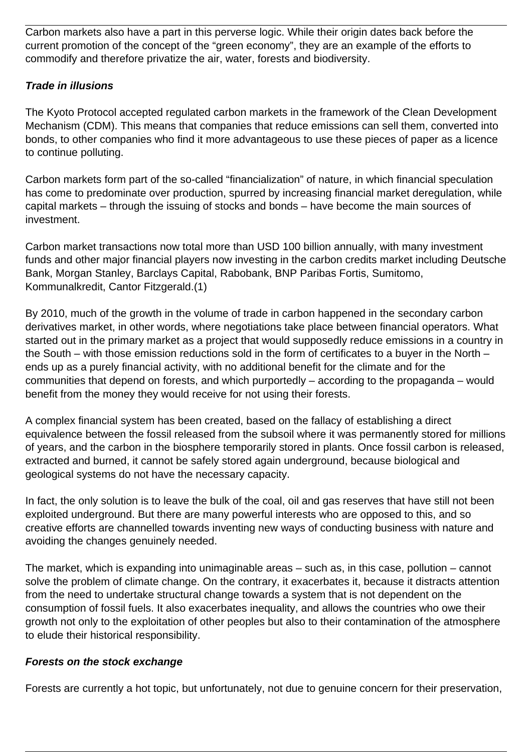Carbon markets also have a part in this perverse logic. While their origin dates back before the current promotion of the concept of the "green economy", they are an example of the efforts to commodify and therefore privatize the air, water, forests and biodiversity.

# **Trade in illusions**

The Kyoto Protocol accepted regulated carbon markets in the framework of the Clean Development Mechanism (CDM). This means that companies that reduce emissions can sell them, converted into bonds, to other companies who find it more advantageous to use these pieces of paper as a licence to continue polluting.

Carbon markets form part of the so-called "financialization" of nature, in which financial speculation has come to predominate over production, spurred by increasing financial market deregulation, while capital markets – through the issuing of stocks and bonds – have become the main sources of investment.

Carbon market transactions now total more than USD 100 billion annually, with many investment funds and other major financial players now investing in the carbon credits market including Deutsche Bank, Morgan Stanley, Barclays Capital, Rabobank, BNP Paribas Fortis, Sumitomo, Kommunalkredit, Cantor Fitzgerald.(1)

By 2010, much of the growth in the volume of trade in carbon happened in the secondary carbon derivatives market, in other words, where negotiations take place between financial operators. What started out in the primary market as a project that would supposedly reduce emissions in a country in the South – with those emission reductions sold in the form of certificates to a buyer in the North – ends up as a purely financial activity, with no additional benefit for the climate and for the communities that depend on forests, and which purportedly – according to the propaganda – would benefit from the money they would receive for not using their forests.

A complex financial system has been created, based on the fallacy of establishing a direct equivalence between the fossil released from the subsoil where it was permanently stored for millions of years, and the carbon in the biosphere temporarily stored in plants. Once fossil carbon is released, extracted and burned, it cannot be safely stored again underground, because biological and geological systems do not have the necessary capacity.

In fact, the only solution is to leave the bulk of the coal, oil and gas reserves that have still not been exploited underground. But there are many powerful interests who are opposed to this, and so creative efforts are channelled towards inventing new ways of conducting business with nature and avoiding the changes genuinely needed.

The market, which is expanding into unimaginable areas – such as, in this case, pollution – cannot solve the problem of climate change. On the contrary, it exacerbates it, because it distracts attention from the need to undertake structural change towards a system that is not dependent on the consumption of fossil fuels. It also exacerbates inequality, and allows the countries who owe their growth not only to the exploitation of other peoples but also to their contamination of the atmosphere to elude their historical responsibility.

#### **Forests on the stock exchange**

Forests are currently a hot topic, but unfortunately, not due to genuine concern for their preservation,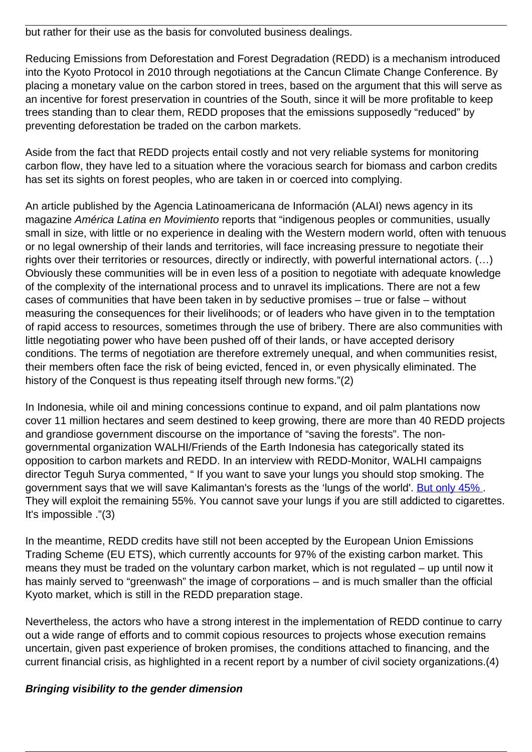but rather for their use as the basis for convoluted business dealings.

Reducing Emissions from Deforestation and Forest Degradation (REDD) is a mechanism introduced into the Kyoto Protocol in 2010 through negotiations at the Cancun Climate Change Conference. By placing a monetary value on the carbon stored in trees, based on the argument that this will serve as an incentive for forest preservation in countries of the South, since it will be more profitable to keep trees standing than to clear them, REDD proposes that the emissions supposedly "reduced" by preventing deforestation be traded on the carbon markets.

Aside from the fact that REDD projects entail costly and not very reliable systems for monitoring carbon flow, they have led to a situation where the voracious search for biomass and carbon credits has set its sights on forest peoples, who are taken in or coerced into complying.

An article published by the Agencia Latinoamericana de Información (ALAI) news agency in its magazine América Latina en Movimiento reports that "indigenous peoples or communities, usually small in size, with little or no experience in dealing with the Western modern world, often with tenuous or no legal ownership of their lands and territories, will face increasing pressure to negotiate their rights over their territories or resources, directly or indirectly, with powerful international actors. (…) Obviously these communities will be in even less of a position to negotiate with adequate knowledge of the complexity of the international process and to unravel its implications. There are not a few cases of communities that have been taken in by seductive promises – true or false – without measuring the consequences for their livelihoods; or of leaders who have given in to the temptation of rapid access to resources, sometimes through the use of bribery. There are also communities with little negotiating power who have been pushed off of their lands, or have accepted derisory conditions. The terms of negotiation are therefore extremely unequal, and when communities resist, their members often face the risk of being evicted, fenced in, or even physically eliminated. The history of the Conquest is thus repeating itself through new forms."(2)

In Indonesia, while oil and mining concessions continue to expand, and oil palm plantations now cover 11 million hectares and seem destined to keep growing, there are more than 40 REDD projects and grandiose government discourse on the importance of "saving the forests". The nongovernmental organization WALHI/Friends of the Earth Indonesia has categorically stated its opposition to carbon markets and REDD. In an interview with REDD-Monitor, WALHI campaigns director Teguh Surya commented, " If you want to save your lungs you should stop smoking. The government says that we will save Kalimantan's forests as the 'lungs of the world'. But only 45%. They will exploit the remaining 55%. You cannot save your lungs if you are still addicted to cigarettes. It's impossible ."(3)

In the meantime, REDD credits have still not been accepted by the European Union Emissions Trading Scheme (EU ETS), which currently accounts for 97% of the existing carbon market. This means they must be traded on the voluntary carbon market, which is not regulated – up until now it has mainly served to "greenwash" the image of corporations – and is much smaller than the official Kyoto market, which is still in the REDD preparation stage.

Nevertheless, the actors who have a strong interest in the implementation of REDD continue to carry out a wide range of efforts and to commit copious resources to projects whose execution remains uncertain, given past experience of broken promises, the conditions attached to financing, and the current financial crisis, as highlighted in a recent report by a number of civil society organizations.(4)

# **Bringing visibility to the gender dimension**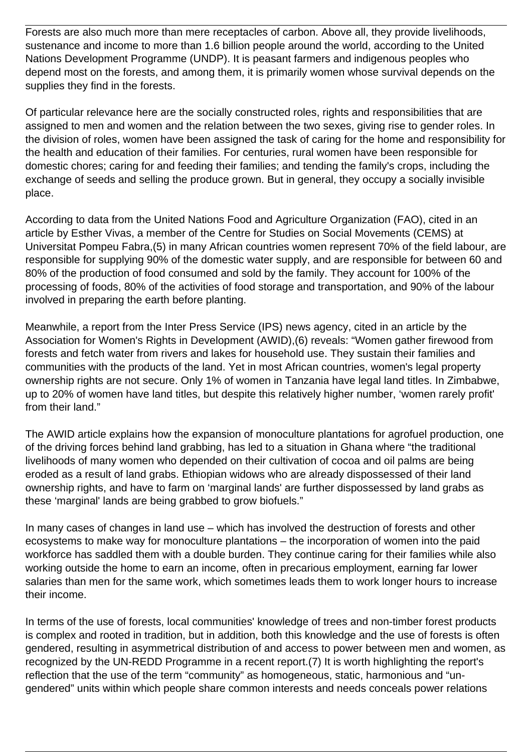Forests are also much more than mere receptacles of carbon. Above all, they provide livelihoods, sustenance and income to more than 1.6 billion people around the world, according to the United Nations Development Programme (UNDP). It is peasant farmers and indigenous peoples who depend most on the forests, and among them, it is primarily women whose survival depends on the supplies they find in the forests.

Of particular relevance here are the socially constructed roles, rights and responsibilities that are assigned to men and women and the relation between the two sexes, giving rise to gender roles. In the division of roles, women have been assigned the task of caring for the home and responsibility for the health and education of their families. For centuries, rural women have been responsible for domestic chores; caring for and feeding their families; and tending the family's crops, including the exchange of seeds and selling the produce grown. But in general, they occupy a socially invisible place.

According to data from the United Nations Food and Agriculture Organization (FAO), cited in an article by Esther Vivas, a member of the Centre for Studies on Social Movements (CEMS) at Universitat Pompeu Fabra,(5) in many African countries women represent 70% of the field labour, are responsible for supplying 90% of the domestic water supply, and are responsible for between 60 and 80% of the production of food consumed and sold by the family. They account for 100% of the processing of foods, 80% of the activities of food storage and transportation, and 90% of the labour involved in preparing the earth before planting.

Meanwhile, a report from the Inter Press Service (IPS) news agency, cited in an article by the Association for Women's Rights in Development (AWID),(6) reveals: "Women gather firewood from forests and fetch water from rivers and lakes for household use. They sustain their families and communities with the products of the land. Yet in most African countries, women's legal property ownership rights are not secure. Only 1% of women in Tanzania have legal land titles. In Zimbabwe, up to 20% of women have land titles, but despite this relatively higher number, 'women rarely profit' from their land."

The AWID article explains how the expansion of monoculture plantations for agrofuel production, one of the driving forces behind land grabbing, has led to a situation in Ghana where "the traditional livelihoods of many women who depended on their cultivation of cocoa and oil palms are being eroded as a result of land grabs. Ethiopian widows who are already dispossessed of their land ownership rights, and have to farm on 'marginal lands' are further dispossessed by land grabs as these 'marginal' lands are being grabbed to grow biofuels."

In many cases of changes in land use – which has involved the destruction of forests and other ecosystems to make way for monoculture plantations – the incorporation of women into the paid workforce has saddled them with a double burden. They continue caring for their families while also working outside the home to earn an income, often in precarious employment, earning far lower salaries than men for the same work, which sometimes leads them to work longer hours to increase their income.

In terms of the use of forests, local communities' knowledge of trees and non-timber forest products is complex and rooted in tradition, but in addition, both this knowledge and the use of forests is often gendered, resulting in asymmetrical distribution of and access to power between men and women, as recognized by the UN-REDD Programme in a recent report.(7) It is worth highlighting the report's reflection that the use of the term "community" as homogeneous, static, harmonious and "ungendered" units within which people share common interests and needs conceals power relations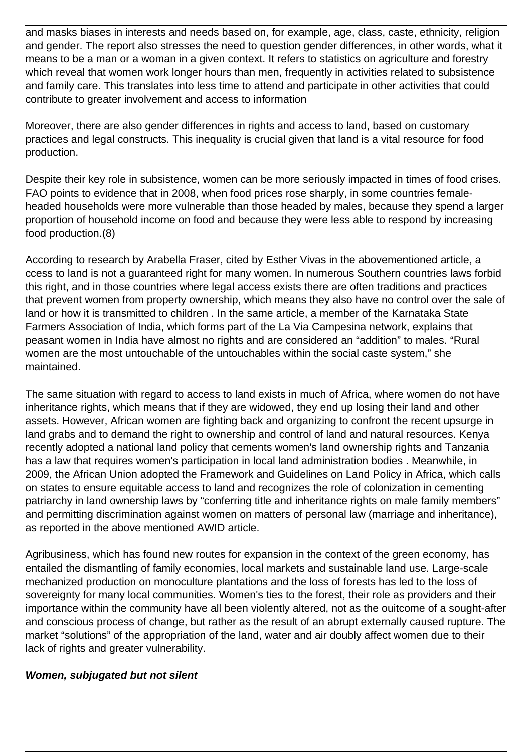and masks biases in interests and needs based on, for example, age, class, caste, ethnicity, religion and gender. The report also stresses the need to question gender differences, in other words, what it means to be a man or a woman in a given context. It refers to statistics on agriculture and forestry which reveal that women work longer hours than men, frequently in activities related to subsistence and family care. This translates into less time to attend and participate in other activities that could contribute to greater involvement and access to information

Moreover, there are also gender differences in rights and access to land, based on customary practices and legal constructs. This inequality is crucial given that land is a vital resource for food production.

Despite their key role in subsistence, women can be more seriously impacted in times of food crises. FAO points to evidence that in 2008, when food prices rose sharply, in some countries femaleheaded households were more vulnerable than those headed by males, because they spend a larger proportion of household income on food and because they were less able to respond by increasing food production.(8)

According to research by Arabella Fraser, cited by Esther Vivas in the abovementioned article, a ccess to land is not a guaranteed right for many women. In numerous Southern countries laws forbid this right, and in those countries where legal access exists there are often traditions and practices that prevent women from property ownership, which means they also have no control over the sale of land or how it is transmitted to children . In the same article, a member of the Karnataka State Farmers Association of India, which forms part of the La Via Campesina network, explains that peasant women in India have almost no rights and are considered an "addition" to males. "Rural women are the most untouchable of the untouchables within the social caste system," she maintained.

The same situation with regard to access to land exists in much of Africa, where women do not have inheritance rights, which means that if they are widowed, they end up losing their land and other assets. However, African women are fighting back and organizing to confront the recent upsurge in land grabs and to demand the right to ownership and control of land and natural resources. Kenya recently adopted a national land policy that cements women's land ownership rights and Tanzania has a law that requires women's participation in local land administration bodies . Meanwhile, in 2009, the African Union adopted the Framework and Guidelines on Land Policy in Africa, which calls on states to ensure equitable access to land and recognizes the role of colonization in cementing patriarchy in land ownership laws by "conferring title and inheritance rights on male family members" and permitting discrimination against women on matters of personal law (marriage and inheritance), as reported in the above mentioned AWID article.

Agribusiness, which has found new routes for expansion in the context of the green economy, has entailed the dismantling of family economies, local markets and sustainable land use. Large-scale mechanized production on monoculture plantations and the loss of forests has led to the loss of sovereignty for many local communities. Women's ties to the forest, their role as providers and their importance within the community have all been violently altered, not as the ouitcome of a sought-after and conscious process of change, but rather as the result of an abrupt externally caused rupture. The market "solutions" of the appropriation of the land, water and air doubly affect women due to their lack of rights and greater vulnerability.

# **Women, subjugated but not silent**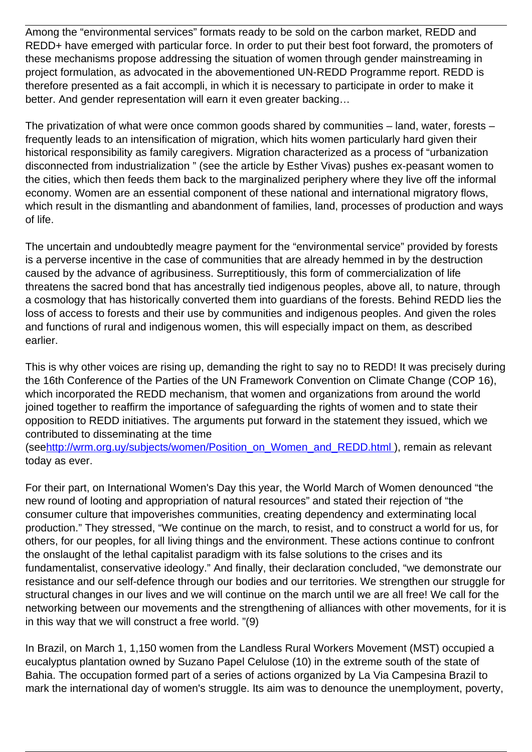Among the "environmental services" formats ready to be sold on the carbon market, REDD and REDD+ have emerged with particular force. In order to put their best foot forward, the promoters of these mechanisms propose addressing the situation of women through gender mainstreaming in project formulation, as advocated in the abovementioned UN-REDD Programme report. REDD is therefore presented as a fait accompli, in which it is necessary to participate in order to make it better. And gender representation will earn it even greater backing…

The privatization of what were once common goods shared by communities – land, water, forests – frequently leads to an intensification of migration, which hits women particularly hard given their historical responsibility as family caregivers. Migration characterized as a process of "urbanization disconnected from industrialization " (see the article by Esther Vivas) pushes ex-peasant women to the cities, which then feeds them back to the marginalized periphery where they live off the informal economy. Women are an essential component of these national and international migratory flows, which result in the dismantling and abandonment of families, land, processes of production and ways of life.

The uncertain and undoubtedly meagre payment for the "environmental service" provided by forests is a perverse incentive in the case of communities that are already hemmed in by the destruction caused by the advance of agribusiness. Surreptitiously, this form of commercialization of life threatens the sacred bond that has ancestrally tied indigenous peoples, above all, to nature, through a cosmology that has historically converted them into guardians of the forests. Behind REDD lies the loss of access to forests and their use by communities and indigenous peoples. And given the roles and functions of rural and indigenous women, this will especially impact on them, as described earlier.

This is why other voices are rising up, demanding the right to say no to REDD! It was precisely during the 16th Conference of the Parties of the UN Framework Convention on Climate Change (COP 16), which incorporated the REDD mechanism, that women and organizations from around the world joined together to reaffirm the importance of safeguarding the rights of women and to state their opposition to REDD initiatives. The arguments put forward in the statement they issued, which we contributed to disseminating at the time

(see[http://wrm.org.uy/subjects/women/Position\\_on\\_Women\\_and\\_REDD.html](http://wrm.org.uy/subjects/women/Position_on_Women_and_REDD.html) ), remain as relevant today as ever.

For their part, on International Women's Day this year, the World March of Women denounced "the new round of looting and appropriation of natural resources" and stated their rejection of "the consumer culture that impoverishes communities, creating dependency and exterminating local production." They stressed, "We continue on the march, to resist, and to construct a world for us, for others, for our peoples, for all living things and the environment. These actions continue to confront the onslaught of the lethal capitalist paradigm with its false solutions to the crises and its fundamentalist, conservative ideology." And finally, their declaration concluded, "we demonstrate our resistance and our self-defence through our bodies and our territories. We strengthen our struggle for structural changes in our lives and we will continue on the march until we are all free! We call for the networking between our movements and the strengthening of alliances with other movements, for it is in this way that we will construct a free world. "(9)

In Brazil, on March 1, 1,150 women from the Landless Rural Workers Movement (MST) occupied a eucalyptus plantation owned by Suzano Papel Celulose (10) in the extreme south of the state of Bahia. The occupation formed part of a series of actions organized by La Via Campesina Brazil to mark the international day of women's struggle. Its aim was to denounce the unemployment, poverty,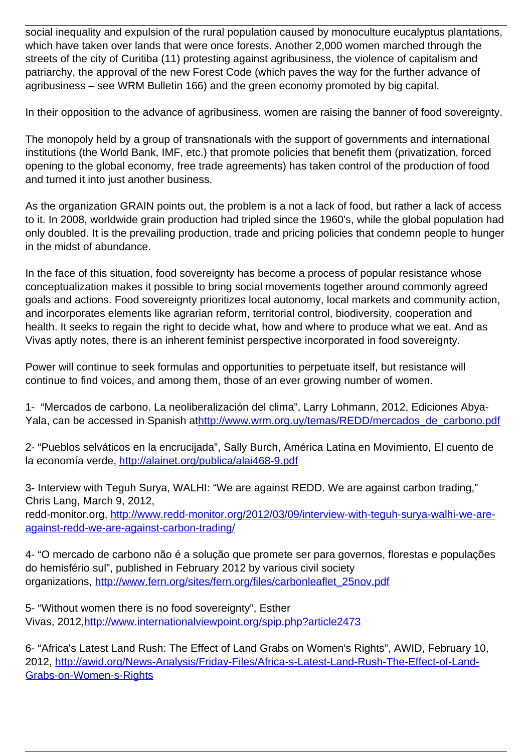social inequality and expulsion of the rural population caused by monoculture eucalyptus plantations, which have taken over lands that were once forests. Another 2,000 women marched through the streets of the city of Curitiba (11) protesting against agribusiness, the violence of capitalism and patriarchy, the approval of the new Forest Code (which paves the way for the further advance of agribusiness – see WRM Bulletin 166) and the green economy promoted by big capital.

In their opposition to the advance of agribusiness, women are raising the banner of food sovereignty.

The monopoly held by a group of transnationals with the support of governments and international institutions (the World Bank, IMF, etc.) that promote policies that benefit them (privatization, forced opening to the global economy, free trade agreements) has taken control of the production of food and turned it into just another business.

As the organization GRAIN points out, the problem is a not a lack of food, but rather a lack of access to it. In 2008, worldwide grain production had tripled since the 1960's, while the global population had only doubled. It is the prevailing production, trade and pricing policies that condemn people to hunger in the midst of abundance.

In the face of this situation, food sovereignty has become a process of popular resistance whose conceptualization makes it possible to bring social movements together around commonly agreed goals and actions. Food sovereignty prioritizes local autonomy, local markets and community action, and incorporates elements like agrarian reform, territorial control, biodiversity, cooperation and health. It seeks to regain the right to decide what, how and where to produce what we eat. And as Vivas aptly notes, there is an inherent feminist perspective incorporated in food sovereignty.

Power will continue to seek formulas and opportunities to perpetuate itself, but resistance will continue to find voices, and among them, those of an ever growing number of women.

1- "Mercados de carbono. La neoliberalización del clima", Larry Lohmann, 2012, Ediciones AbyaYala, can be accessed in Spanish at[http://www.wrm.org.uy/temas/REDD/mercados\\_de\\_carbono.pdf](http://www.wrm.org.uy/temas/REDD/mercados_de_carbono.pdf)

2- "Pueblos selváticos en la encrucijada", Sally Burch, América Latina en Movimiento, El cuento de la economía verde,<http://alainet.org/publica/alai468-9.pdf>

3- Interview with Teguh Surya, WALHI: "We are against REDD. We are against carbon trading," Chris Lang, March 9, 2012,

redd-monitor.org, [http://www.redd-monitor.org/2012/03/09/interview-with-teguh-surya-walhi-we-are](http://www.redd-monitor.org/2012/03/09/interview-with-teguh-surya-walhi-we-are-against-redd-we-are-against-carbon-trading/)[against-redd-we-are-against-carbon-trading/](http://www.redd-monitor.org/2012/03/09/interview-with-teguh-surya-walhi-we-are-against-redd-we-are-against-carbon-trading/)

4- "O mercado de carbono não é a solução que promete ser para governos, florestas e populações do hemisfério sul", published in February 2012 by various civil society organizations, [http://www.fern.org/sites/fern.org/files/carbonleaflet\\_25nov.pdf](http://www.fern.org/sites/fern.org/files/carbonleaflet_25nov.pdf)

5- "Without women there is no food sovereignty", Esther Vivas, 2012[,http://www.internationalviewpoint.org/spip.php?article2473](http://www.internationalviewpoint.org/spip.php?article2473)

6- "Africa's Latest Land Rush: The Effect of Land Grabs on Women's Rights", AWID, February 10, 2012, [http://awid.org/News-Analysis/Friday-Files/Africa-s-Latest-Land-Rush-The-Effect-of-Land-](http://awid.org/News-Analysis/Friday-Files/Africa-s-Latest-Land-Rush-The-Effect-of-Land-Grabs-on-Women-s-Rights)[Grabs-on-Women-s-Rights](http://awid.org/News-Analysis/Friday-Files/Africa-s-Latest-Land-Rush-The-Effect-of-Land-Grabs-on-Women-s-Rights)